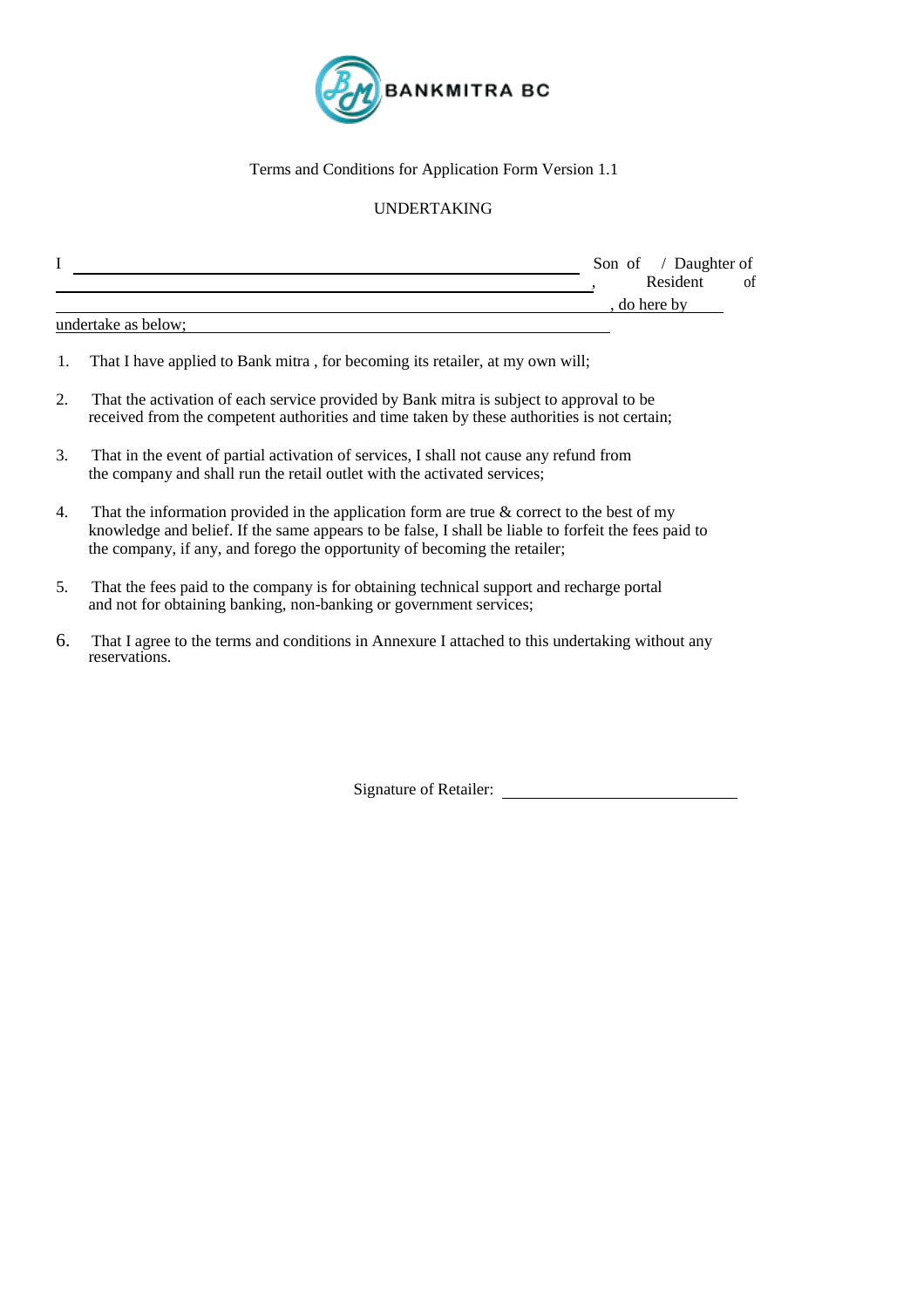

### Terms and Conditions for Application Form Version 1.1

### UNDERTAKING

| л                   | Son of / Daughter of |
|---------------------|----------------------|
|                     | Resident<br>ΟÌ       |
|                     | do here by           |
| undertake as below; |                      |

- 1. That I have applied to Bank mitra , for becoming its retailer, at my own will;
- 2. That the activation of each service provided by Bank mitra is subject to approval to be received from the competent authorities and time taken by these authorities is not certain;
- 3. That in the event of partial activation of services, I shall not cause any refund from the company and shall run the retail outlet with the activated services;
- 4. That the information provided in the application form are true  $\&$  correct to the best of my knowledge and belief. If the same appears to be false, I shall be liable to forfeit the fees paid to the company, if any, and forego the opportunity of becoming the retailer;
- 5. That the fees paid to the company is for obtaining technical support and recharge portal and not for obtaining banking, non-banking or government services;
- 6. That I agree to the terms and conditions in Annexure I attached to this undertaking without any reservations.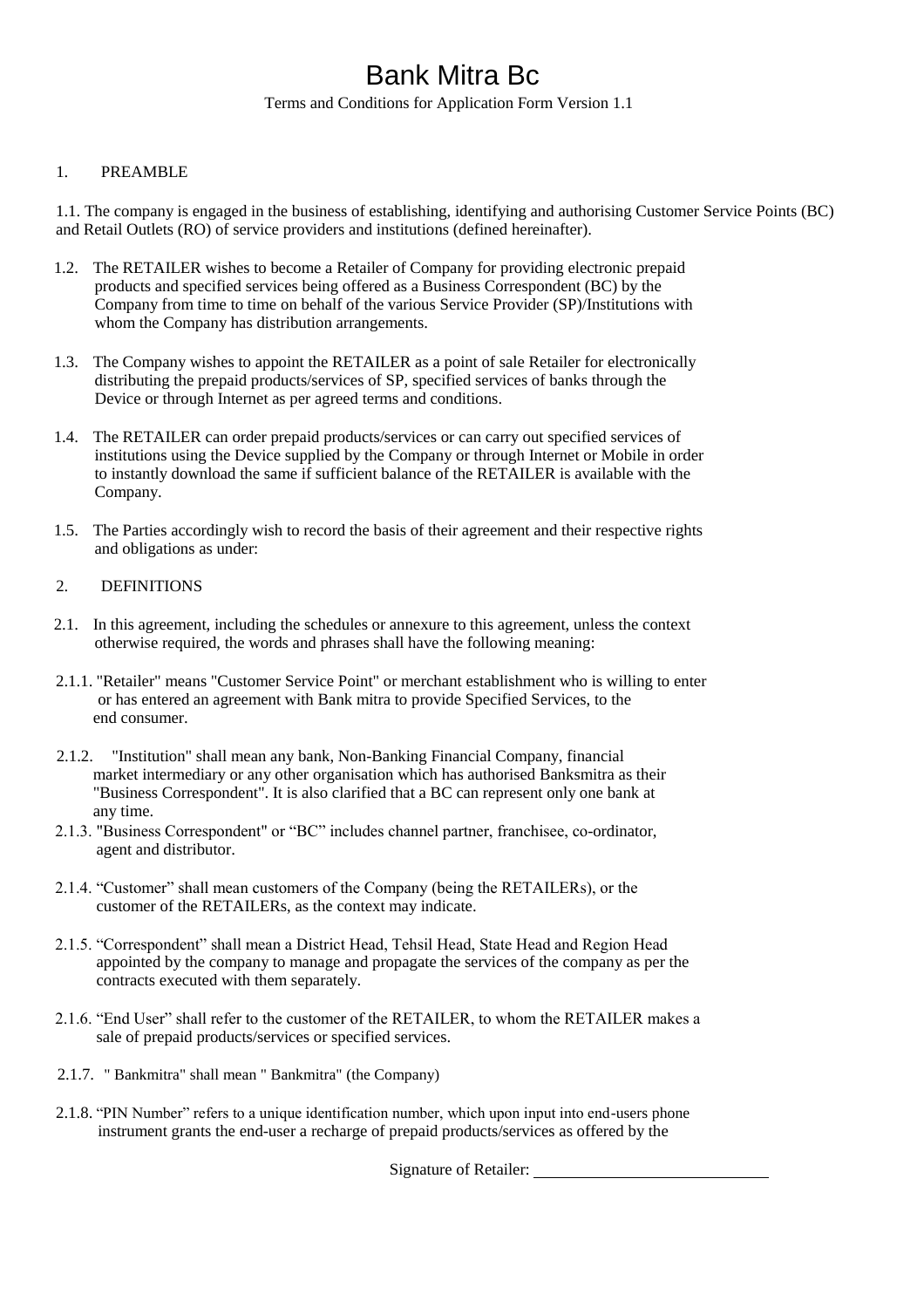Terms and Conditions for Application Form Version 1.1

### 1. PREAMBLE

1.1. The company is engaged in the business of establishing, identifying and authorising Customer Service Points (BC) and Retail Outlets (RO) of service providers and institutions (defined hereinafter).

- 1.2. The RETAILER wishes to become a Retailer of Company for providing electronic prepaid products and specified services being offered as a Business Correspondent (BC) by the Company from time to time on behalf of the various Service Provider (SP)/Institutions with whom the Company has distribution arrangements.
- 1.3. The Company wishes to appoint the RETAILER as a point of sale Retailer for electronically distributing the prepaid products/services of SP, specified services of banks through the Device or through Internet as per agreed terms and conditions.
- 1.4. The RETAILER can order prepaid products/services or can carry out specified services of institutions using the Device supplied by the Company or through Internet or Mobile in order to instantly download the same if sufficient balance of the RETAILER is available with the Company.
- 1.5. The Parties accordingly wish to record the basis of their agreement and their respective rights and obligations as under:

### 2. DEFINITIONS

- 2.1. In this agreement, including the schedules or annexure to this agreement, unless the context otherwise required, the words and phrases shall have the following meaning:
- 2.1.1. "Retailer" means "Customer Service Point" or merchant establishment who is willing to enter or has entered an agreement with Bank mitra to provide Specified Services, to the end consumer.
- 2.1.2. "Institution" shall mean any bank, Non-Banking Financial Company, financial market intermediary or any other organisation which has authorised Banksmitra as their "Business Correspondent". It is also clarified that a BC can represent only one bank at any time.
- 2.1.3. "Business Correspondent" or "BC" includes channel partner, franchisee, co-ordinator, agent and distributor.
- 2.1.4. "Customer" shall mean customers of the Company (being the RETAILERs), or the customer of the RETAILERs, as the context may indicate.
- 2.1.5. "Correspondent" shall mean a District Head, Tehsil Head, State Head and Region Head appointed by the company to manage and propagate the services of the company as per the contracts executed with them separately.
- 2.1.6. "End User" shall refer to the customer of the RETAILER, to whom the RETAILER makes a sale of prepaid products/services or specified services.
- 2.1.7. " Bankmitra" shall mean " Bankmitra" (the Company)
- 2.1.8. "PIN Number" refers to a unique identification number, which upon input into end-users phone instrument grants the end-user a recharge of prepaid products/services as offered by the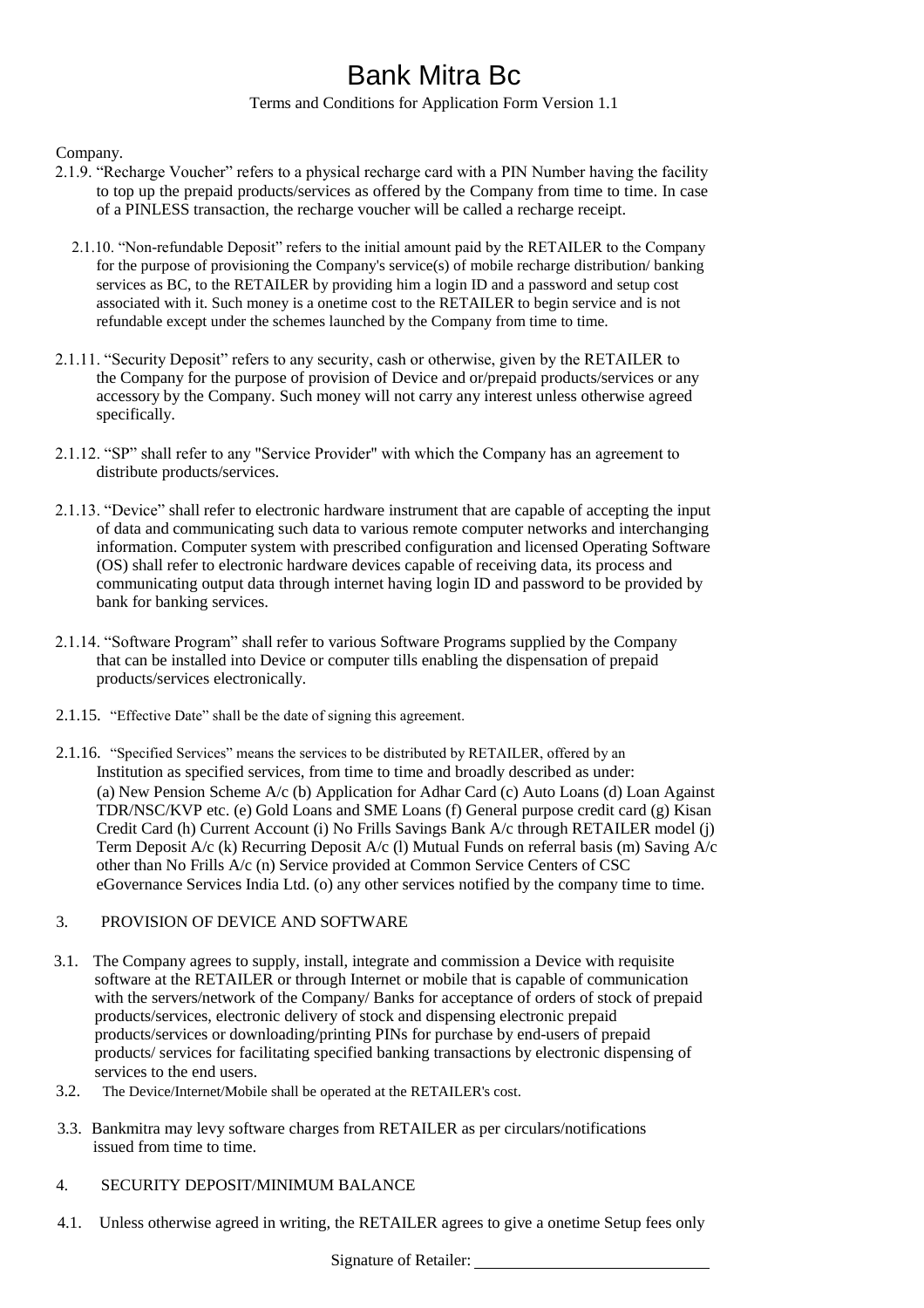### Terms and Conditions for Application Form Version 1.1

### Company.

- 2.1.9. "Recharge Voucher" refers to a physical recharge card with a PIN Number having the facility to top up the prepaid products/services as offered by the Company from time to time. In case of a PINLESS transaction, the recharge voucher will be called a recharge receipt.
	- 2.1.10. "Non-refundable Deposit" refers to the initial amount paid by the RETAILER to the Company for the purpose of provisioning the Company's service(s) of mobile recharge distribution/ banking services as BC, to the RETAILER by providing him a login ID and a password and setup cost associated with it. Such money is a onetime cost to the RETAILER to begin service and is not refundable except under the schemes launched by the Company from time to time.
- 2.1.11. "Security Deposit" refers to any security, cash or otherwise, given by the RETAILER to the Company for the purpose of provision of Device and or/prepaid products/services or any accessory by the Company. Such money will not carry any interest unless otherwise agreed specifically.
- 2.1.12. "SP" shall refer to any "Service Provider" with which the Company has an agreement to distribute products/services.
- 2.1.13. "Device" shall refer to electronic hardware instrument that are capable of accepting the input of data and communicating such data to various remote computer networks and interchanging information. Computer system with prescribed configuration and licensed Operating Software (OS) shall refer to electronic hardware devices capable of receiving data, its process and communicating output data through internet having login ID and password to be provided by bank for banking services.
- 2.1.14. "Software Program" shall refer to various Software Programs supplied by the Company that can be installed into Device or computer tills enabling the dispensation of prepaid products/services electronically.
- 2.1.15. "Effective Date" shall be the date of signing this agreement.
- 2.1.16. "Specified Services" means the services to be distributed by RETAILER, offered by an Institution as specified services, from time to time and broadly described as under: (a) New Pension Scheme A/c (b) Application for Adhar Card (c) Auto Loans (d) Loan Against TDR/NSC/KVP etc. (e) Gold Loans and SME Loans (f) General purpose credit card (g) Kisan Credit Card (h) Current Account (i) No Frills Savings Bank A/c through RETAILER model (j) Term Deposit A/c (k) Recurring Deposit A/c (l) Mutual Funds on referral basis (m) Saving A/c other than No Frills A/c (n) Service provided at Common Service Centers of CSC eGovernance Services India Ltd. (o) any other services notified by the company time to time.

#### 3. PROVISION OF DEVICE AND SOFTWARE

- 3.1. The Company agrees to supply, install, integrate and commission a Device with requisite software at the RETAILER or through Internet or mobile that is capable of communication with the servers/network of the Company/ Banks for acceptance of orders of stock of prepaid products/services, electronic delivery of stock and dispensing electronic prepaid products/services or downloading/printing PINs for purchase by end-users of prepaid products/ services for facilitating specified banking transactions by electronic dispensing of services to the end users.
- 3.2. The Device/Internet/Mobile shall be operated at the RETAILER's cost.
- 3.3. Bankmitra may levy software charges from RETAILER as per circulars/notifications issued from time to time.
- 4. SECURITY DEPOSIT/MINIMUM BALANCE
- 4.1. Unless otherwise agreed in writing, the RETAILER agrees to give a onetime Setup fees only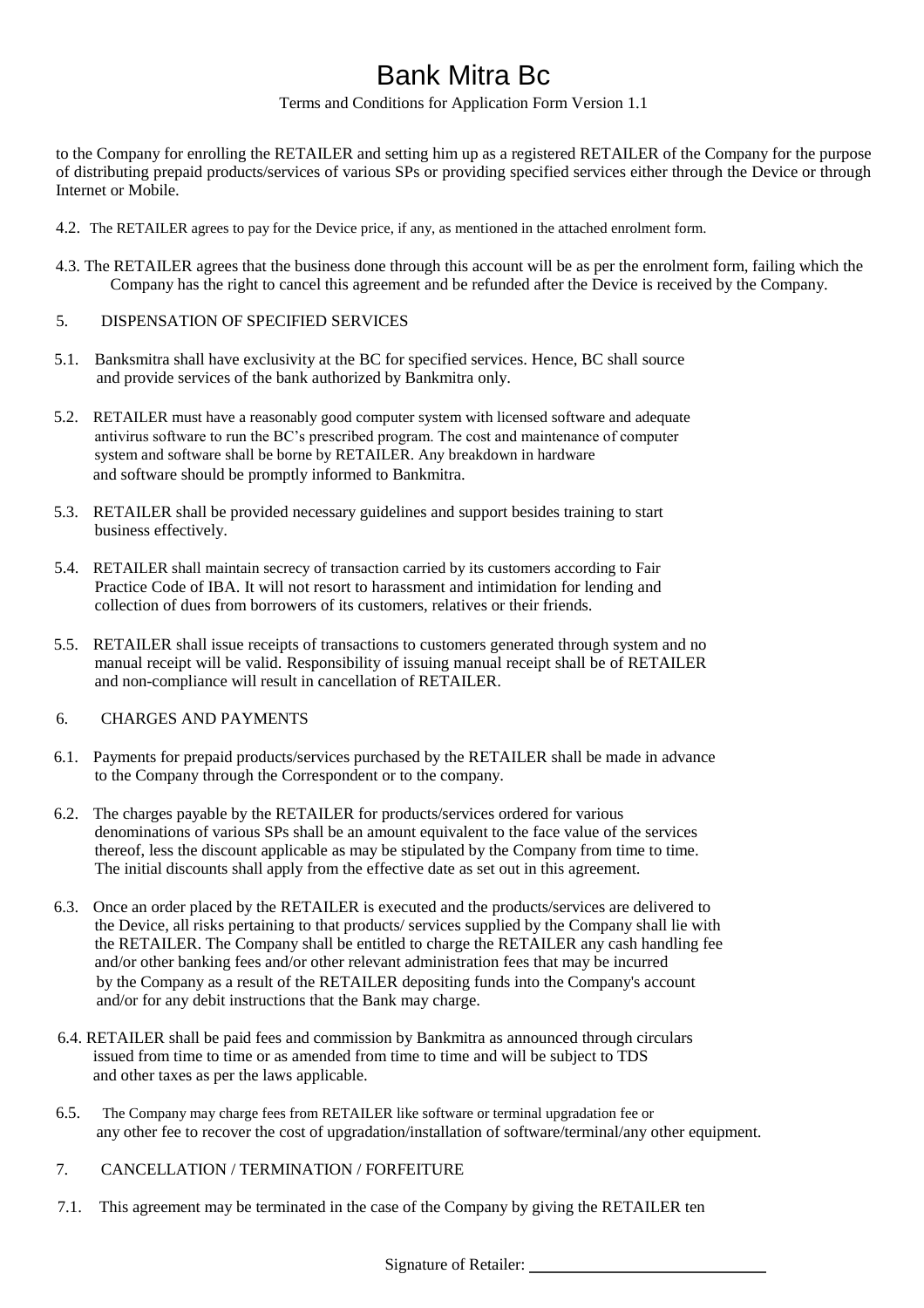Terms and Conditions for Application Form Version 1.1

to the Company for enrolling the RETAILER and setting him up as a registered RETAILER of the Company for the purpose of distributing prepaid products/services of various SPs or providing specified services either through the Device or through Internet or Mobile.

- 4.2. The RETAILER agrees to pay for the Device price, if any, as mentioned in the attached enrolment form.
- 4.3. The RETAILER agrees that the business done through this account will be as per the enrolment form, failing which the Company has the right to cancel this agreement and be refunded after the Device is received by the Company.
- 5. DISPENSATION OF SPECIFIED SERVICES
- 5.1. Banksmitra shall have exclusivity at the BC for specified services. Hence, BC shall source and provide services of the bank authorized by Bankmitra only.
- 5.2. RETAILER must have a reasonably good computer system with licensed software and adequate antivirus software to run the BC's prescribed program. The cost and maintenance of computer system and software shall be borne by RETAILER. Any breakdown in hardware and software should be promptly informed to Bankmitra.
- 5.3. RETAILER shall be provided necessary guidelines and support besides training to start business effectively.
- 5.4. RETAILER shall maintain secrecy of transaction carried by its customers according to Fair Practice Code of IBA. It will not resort to harassment and intimidation for lending and collection of dues from borrowers of its customers, relatives or their friends.
- 5.5. RETAILER shall issue receipts of transactions to customers generated through system and no manual receipt will be valid. Responsibility of issuing manual receipt shall be of RETAILER and non-compliance will result in cancellation of RETAILER.
- 6. CHARGES AND PAYMENTS
- 6.1. Payments for prepaid products/services purchased by the RETAILER shall be made in advance to the Company through the Correspondent or to the company.
- 6.2. The charges payable by the RETAILER for products/services ordered for various denominations of various SPs shall be an amount equivalent to the face value of the services thereof, less the discount applicable as may be stipulated by the Company from time to time. The initial discounts shall apply from the effective date as set out in this agreement.
- 6.3. Once an order placed by the RETAILER is executed and the products/services are delivered to the Device, all risks pertaining to that products/ services supplied by the Company shall lie with the RETAILER. The Company shall be entitled to charge the RETAILER any cash handling fee and/or other banking fees and/or other relevant administration fees that may be incurred by the Company as a result of the RETAILER depositing funds into the Company's account and/or for any debit instructions that the Bank may charge.
- 6.4. RETAILER shall be paid fees and commission by Bankmitra as announced through circulars issued from time to time or as amended from time to time and will be subject to TDS and other taxes as per the laws applicable.
- 6.5. The Company may charge fees from RETAILER like software or terminal upgradation fee or any other fee to recover the cost of upgradation/installation of software/terminal/any other equipment.
- 7. CANCELLATION / TERMINATION / FORFEITURE
- 7.1. This agreement may be terminated in the case of the Company by giving the RETAILER ten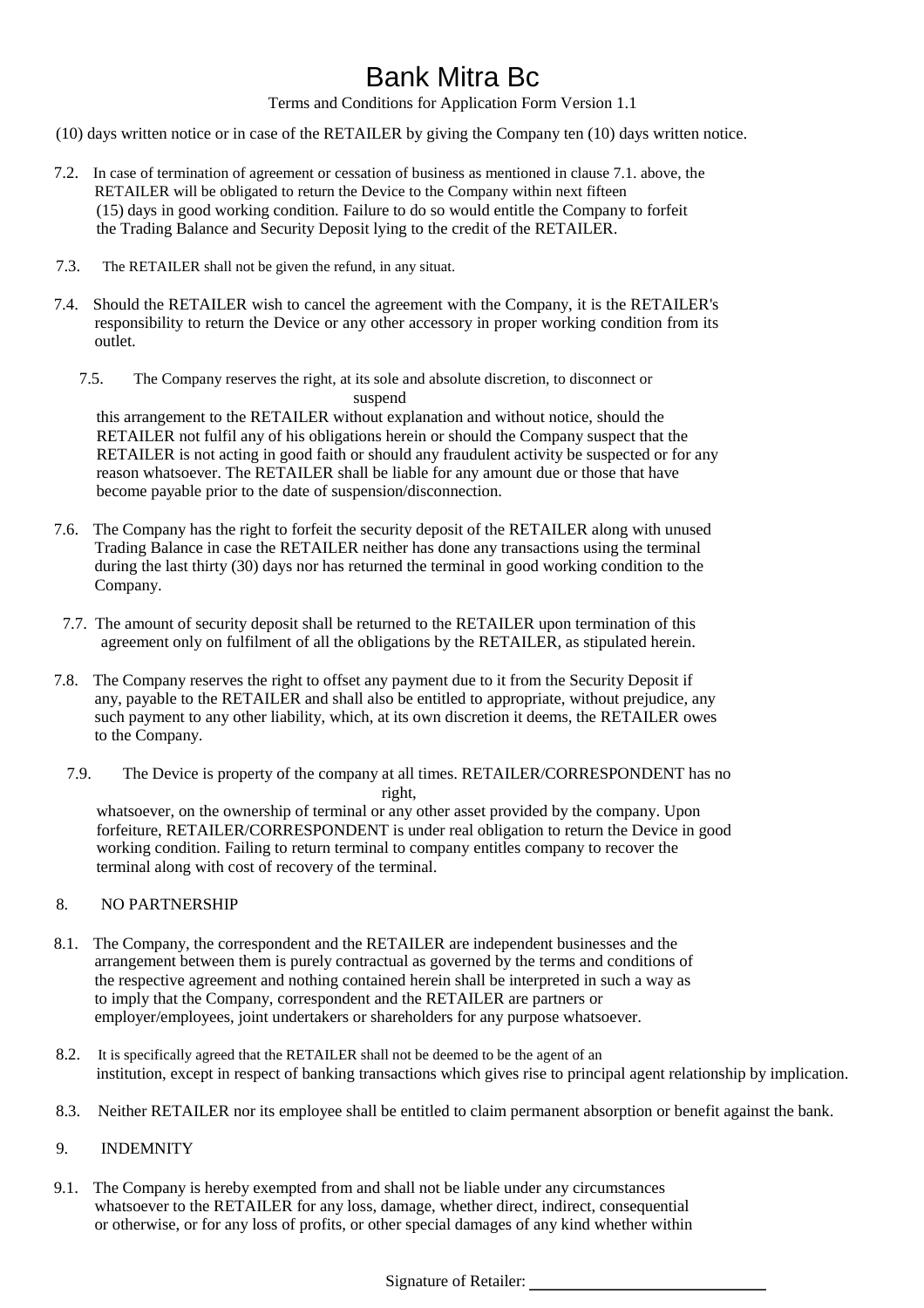Terms and Conditions for Application Form Version 1.1

- (10) days written notice or in case of the RETAILER by giving the Company ten (10) days written notice.
- 7.2. In case of termination of agreement or cessation of business as mentioned in clause 7.1. above, the RETAILER will be obligated to return the Device to the Company within next fifteen (15) days in good working condition. Failure to do so would entitle the Company to forfeit the Trading Balance and Security Deposit lying to the credit of the RETAILER.
- 7.3. The RETAILER shall not be given the refund, in any situat.
- 7.4. Should the RETAILER wish to cancel the agreement with the Company, it is the RETAILER's responsibility to return the Device or any other accessory in proper working condition from its outlet.
	- 7.5. The Company reserves the right, at its sole and absolute discretion, to disconnect or suspend

this arrangement to the RETAILER without explanation and without notice, should the RETAILER not fulfil any of his obligations herein or should the Company suspect that the RETAILER is not acting in good faith or should any fraudulent activity be suspected or for any reason whatsoever. The RETAILER shall be liable for any amount due or those that have become payable prior to the date of suspension/disconnection.

- 7.6. The Company has the right to forfeit the security deposit of the RETAILER along with unused Trading Balance in case the RETAILER neither has done any transactions using the terminal during the last thirty (30) days nor has returned the terminal in good working condition to the Company.
- 7.7. The amount of security deposit shall be returned to the RETAILER upon termination of this agreement only on fulfilment of all the obligations by the RETAILER, as stipulated herein.
- 7.8. The Company reserves the right to offset any payment due to it from the Security Deposit if any, payable to the RETAILER and shall also be entitled to appropriate, without prejudice, any such payment to any other liability, which, at its own discretion it deems, the RETAILER owes to the Company.
	- 7.9. The Device is property of the company at all times. RETAILER/CORRESPONDENT has no right, whatsoever, on the ownership of terminal or any other asset provided by the company. Upon forfeiture, RETAILER/CORRESPONDENT is under real obligation to return the Device in good working condition. Failing to return terminal to company entitles company to recover the terminal along with cost of recovery of the terminal.

#### 8. NO PARTNERSHIP

- 8.1. The Company, the correspondent and the RETAILER are independent businesses and the arrangement between them is purely contractual as governed by the terms and conditions of the respective agreement and nothing contained herein shall be interpreted in such a way as to imply that the Company, correspondent and the RETAILER are partners or employer/employees, joint undertakers or shareholders for any purpose whatsoever.
- 8.2. It is specifically agreed that the RETAILER shall not be deemed to be the agent of an institution, except in respect of banking transactions which gives rise to principal agent relationship by implication.
- 8.3. Neither RETAILER nor its employee shall be entitled to claim permanent absorption or benefit against the bank.

### 9. INDEMNITY

9.1. The Company is hereby exempted from and shall not be liable under any circumstances whatsoever to the RETAILER for any loss, damage, whether direct, indirect, consequential or otherwise, or for any loss of profits, or other special damages of any kind whether within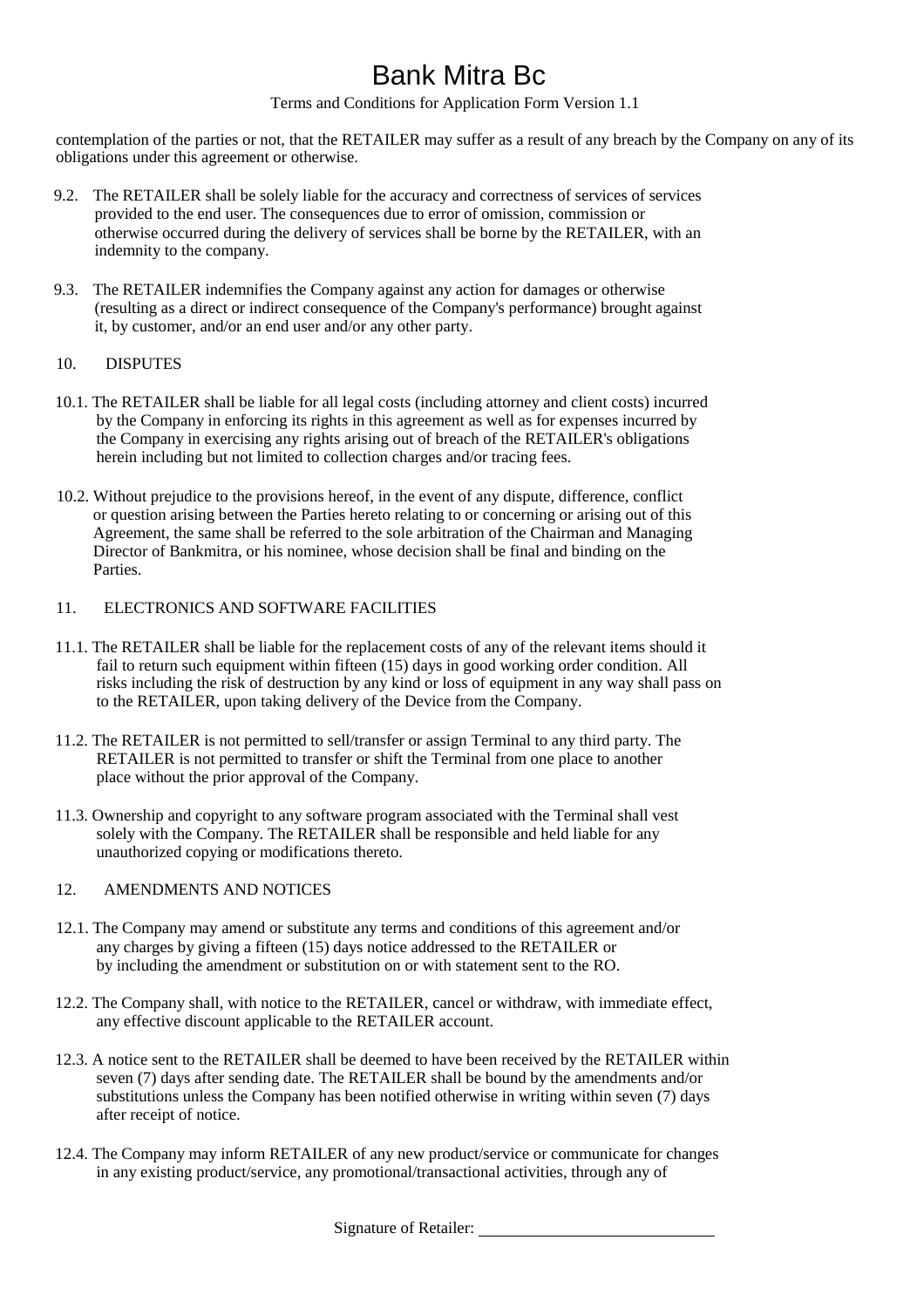Terms and Conditions for Application Form Version 1.1

contemplation of the parties or not, that the RETAILER may suffer as a result of any breach by the Company on any of its obligations under this agreement or otherwise.

- 9.2. The RETAILER shall be solely liable for the accuracy and correctness of services of services provided to the end user. The consequences due to error of omission, commission or otherwise occurred during the delivery of services shall be borne by the RETAILER, with an indemnity to the company.
- 9.3. The RETAILER indemnifies the Company against any action for damages or otherwise (resulting as a direct or indirect consequence of the Company's performance) brought against it, by customer, and/or an end user and/or any other party.
- 10. DISPUTES
- 10.1. The RETAILER shall be liable for all legal costs (including attorney and client costs) incurred by the Company in enforcing its rights in this agreement as well as for expenses incurred by the Company in exercising any rights arising out of breach of the RETAILER's obligations herein including but not limited to collection charges and/or tracing fees.
- 10.2. Without prejudice to the provisions hereof, in the event of any dispute, difference, conflict or question arising between the Parties hereto relating to or concerning or arising out of this Agreement, the same shall be referred to the sole arbitration of the Chairman and Managing Director of Bankmitra, or his nominee, whose decision shall be final and binding on the Parties.
- 11. ELECTRONICS AND SOFTWARE FACILITIES
- 11.1. The RETAILER shall be liable for the replacement costs of any of the relevant items should it fail to return such equipment within fifteen (15) days in good working order condition. All risks including the risk of destruction by any kind or loss of equipment in any way shall pass on to the RETAILER, upon taking delivery of the Device from the Company.
- 11.2. The RETAILER is not permitted to sell/transfer or assign Terminal to any third party. The RETAILER is not permitted to transfer or shift the Terminal from one place to another place without the prior approval of the Company.
- 11.3. Ownership and copyright to any software program associated with the Terminal shall vest solely with the Company. The RETAILER shall be responsible and held liable for any unauthorized copying or modifications thereto.

### 12. AMENDMENTS AND NOTICES

- 12.1. The Company may amend or substitute any terms and conditions of this agreement and/or any charges by giving a fifteen (15) days notice addressed to the RETAILER or by including the amendment or substitution on or with statement sent to the RO.
- 12.2. The Company shall, with notice to the RETAILER, cancel or withdraw, with immediate effect, any effective discount applicable to the RETAILER account.
- 12.3. A notice sent to the RETAILER shall be deemed to have been received by the RETAILER within seven (7) days after sending date. The RETAILER shall be bound by the amendments and/or substitutions unless the Company has been notified otherwise in writing within seven (7) days after receipt of notice.
- 12.4. The Company may inform RETAILER of any new product/service or communicate for changes in any existing product/service, any promotional/transactional activities, through any of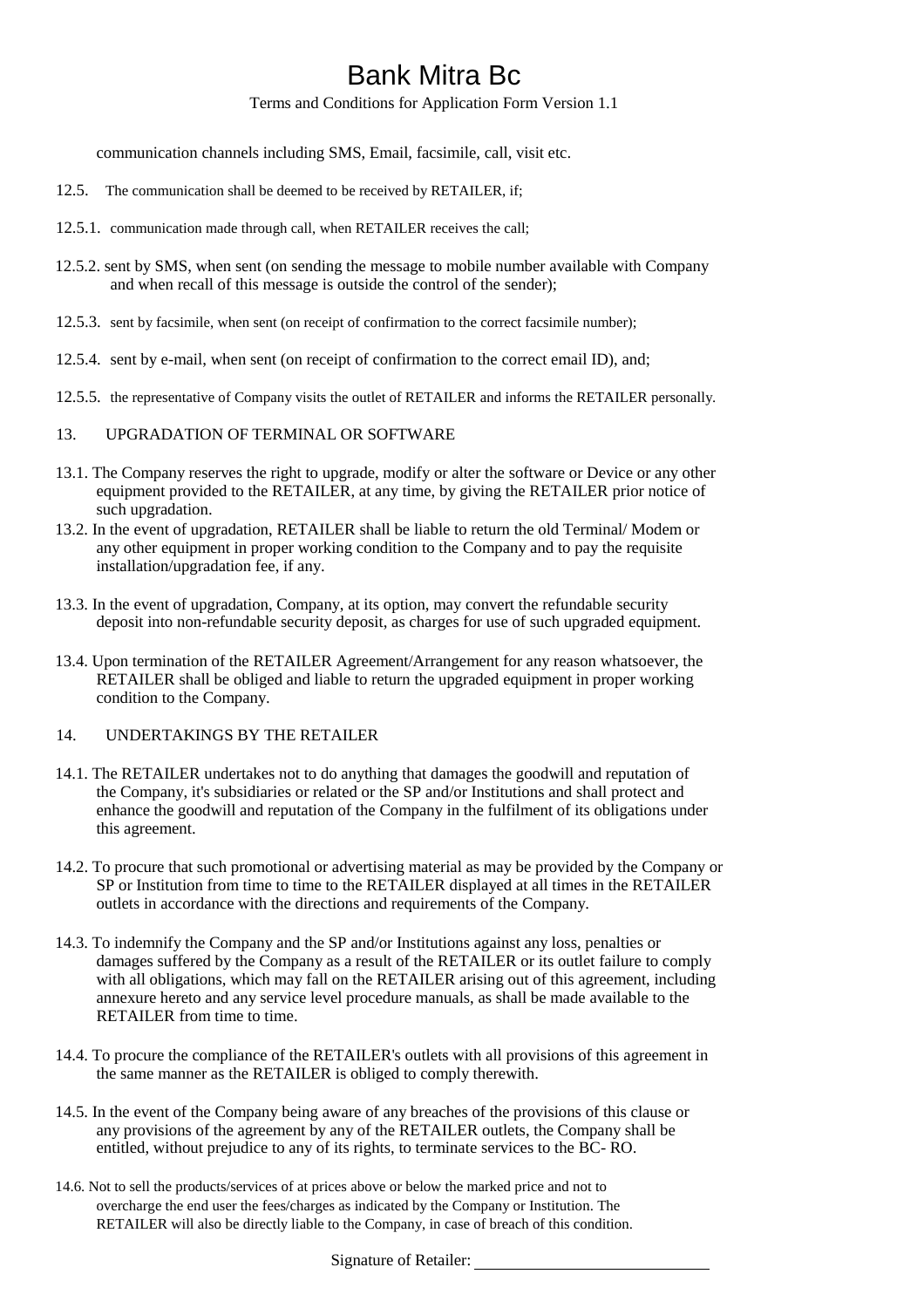Terms and Conditions for Application Form Version 1.1

communication channels including SMS, Email, facsimile, call, visit etc.

- 12.5. The communication shall be deemed to be received by RETAILER, if;
- 12.5.1. communication made through call, when RETAILER receives the call;
- 12.5.2. sent by SMS, when sent (on sending the message to mobile number available with Company and when recall of this message is outside the control of the sender);
- 12.5.3. sent by facsimile, when sent (on receipt of confirmation to the correct facsimile number);
- 12.5.4. sent by e-mail, when sent (on receipt of confirmation to the correct email ID), and;
- 12.5.5. the representative of Company visits the outlet of RETAILER and informs the RETAILER personally.
- 13. UPGRADATION OF TERMINAL OR SOFTWARE
- 13.1. The Company reserves the right to upgrade, modify or alter the software or Device or any other equipment provided to the RETAILER, at any time, by giving the RETAILER prior notice of such upgradation.
- 13.2. In the event of upgradation, RETAILER shall be liable to return the old Terminal/ Modem or any other equipment in proper working condition to the Company and to pay the requisite installation/upgradation fee, if any.
- 13.3. In the event of upgradation, Company, at its option, may convert the refundable security deposit into non-refundable security deposit, as charges for use of such upgraded equipment.
- 13.4. Upon termination of the RETAILER Agreement/Arrangement for any reason whatsoever, the RETAILER shall be obliged and liable to return the upgraded equipment in proper working condition to the Company.

### 14. UNDERTAKINGS BY THE RETAILER

- 14.1. The RETAILER undertakes not to do anything that damages the goodwill and reputation of the Company, it's subsidiaries or related or the SP and/or Institutions and shall protect and enhance the goodwill and reputation of the Company in the fulfilment of its obligations under this agreement.
- 14.2. To procure that such promotional or advertising material as may be provided by the Company or SP or Institution from time to time to the RETAILER displayed at all times in the RETAILER outlets in accordance with the directions and requirements of the Company.
- 14.3. To indemnify the Company and the SP and/or Institutions against any loss, penalties or damages suffered by the Company as a result of the RETAILER or its outlet failure to comply with all obligations, which may fall on the RETAILER arising out of this agreement, including annexure hereto and any service level procedure manuals, as shall be made available to the RETAILER from time to time.
- 14.4. To procure the compliance of the RETAILER's outlets with all provisions of this agreement in the same manner as the RETAILER is obliged to comply therewith.
- 14.5. In the event of the Company being aware of any breaches of the provisions of this clause or any provisions of the agreement by any of the RETAILER outlets, the Company shall be entitled, without prejudice to any of its rights, to terminate services to the BC- RO.
- 14.6. Not to sell the products/services of at prices above or below the marked price and not to overcharge the end user the fees/charges as indicated by the Company or Institution. The RETAILER will also be directly liable to the Company, in case of breach of this condition.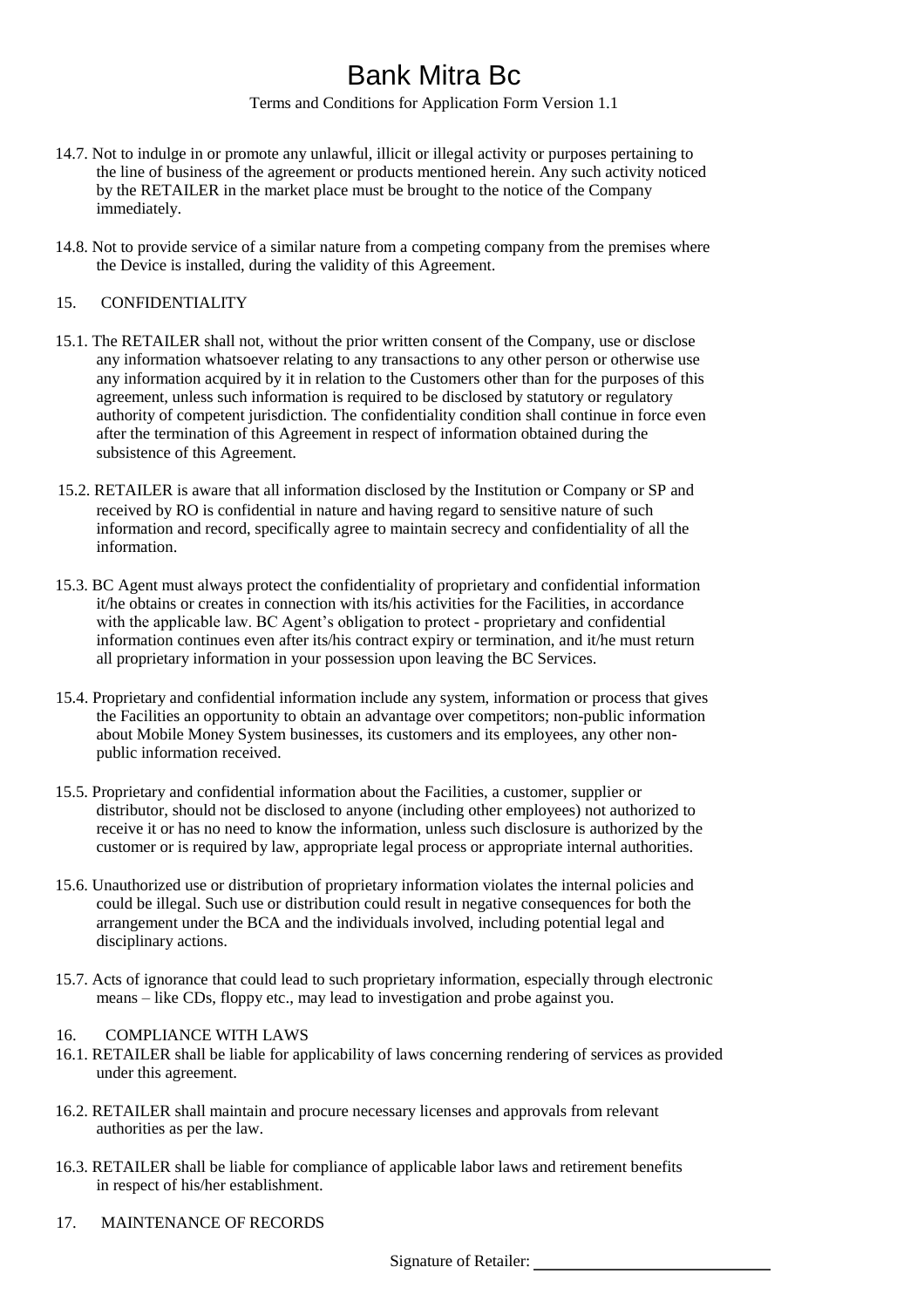Terms and Conditions for Application Form Version 1.1

- 14.7. Not to indulge in or promote any unlawful, illicit or illegal activity or purposes pertaining to the line of business of the agreement or products mentioned herein. Any such activity noticed by the RETAILER in the market place must be brought to the notice of the Company immediately.
- 14.8. Not to provide service of a similar nature from a competing company from the premises where the Device is installed, during the validity of this Agreement.

#### 15. CONFIDENTIALITY

- 15.1. The RETAILER shall not, without the prior written consent of the Company, use or disclose any information whatsoever relating to any transactions to any other person or otherwise use any information acquired by it in relation to the Customers other than for the purposes of this agreement, unless such information is required to be disclosed by statutory or regulatory authority of competent jurisdiction. The confidentiality condition shall continue in force even after the termination of this Agreement in respect of information obtained during the subsistence of this Agreement.
- 15.2. RETAILER is aware that all information disclosed by the Institution or Company or SP and received by RO is confidential in nature and having regard to sensitive nature of such information and record, specifically agree to maintain secrecy and confidentiality of all the information.
- 15.3. BC Agent must always protect the confidentiality of proprietary and confidential information it/he obtains or creates in connection with its/his activities for the Facilities, in accordance with the applicable law. BC Agent's obligation to protect - proprietary and confidential information continues even after its/his contract expiry or termination, and it/he must return all proprietary information in your possession upon leaving the BC Services.
- 15.4. Proprietary and confidential information include any system, information or process that gives the Facilities an opportunity to obtain an advantage over competitors; non-public information about Mobile Money System businesses, its customers and its employees, any other nonpublic information received.
- 15.5. Proprietary and confidential information about the Facilities, a customer, supplier or distributor, should not be disclosed to anyone (including other employees) not authorized to receive it or has no need to know the information, unless such disclosure is authorized by the customer or is required by law, appropriate legal process or appropriate internal authorities.
- 15.6. Unauthorized use or distribution of proprietary information violates the internal policies and could be illegal. Such use or distribution could result in negative consequences for both the arrangement under the BCA and the individuals involved, including potential legal and disciplinary actions.
- 15.7. Acts of ignorance that could lead to such proprietary information, especially through electronic means – like CDs, floppy etc., may lead to investigation and probe against you.

### 16. COMPLIANCE WITH LAWS

- 16.1. RETAILER shall be liable for applicability of laws concerning rendering of services as provided under this agreement.
- 16.2. RETAILER shall maintain and procure necessary licenses and approvals from relevant authorities as per the law.
- 16.3. RETAILER shall be liable for compliance of applicable labor laws and retirement benefits in respect of his/her establishment.
- 17. MAINTENANCE OF RECORDS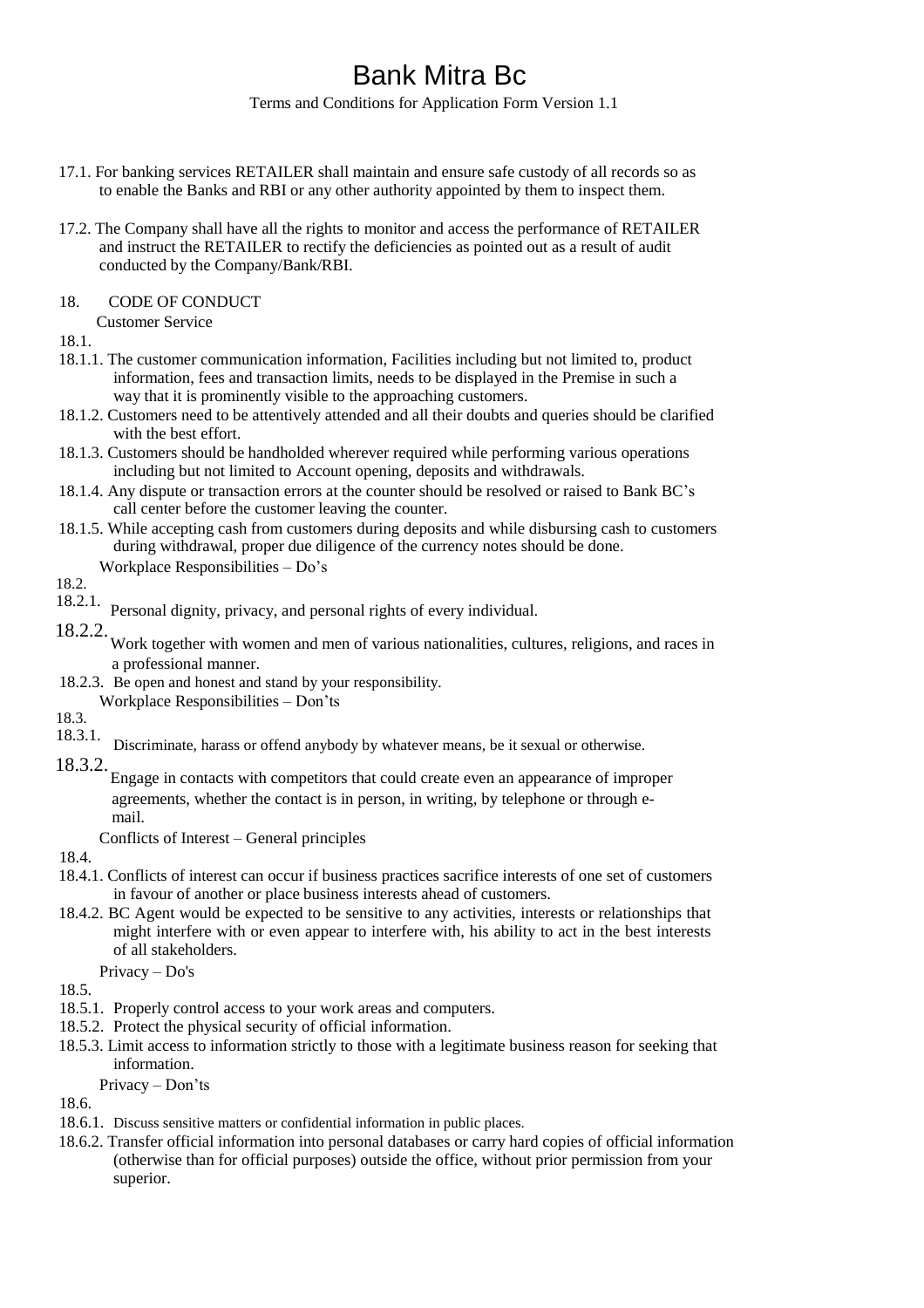Terms and Conditions for Application Form Version 1.1

- 17.1. For banking services RETAILER shall maintain and ensure safe custody of all records so as to enable the Banks and RBI or any other authority appointed by them to inspect them.
- 17.2. The Company shall have all the rights to monitor and access the performance of RETAILER and instruct the RETAILER to rectify the deficiencies as pointed out as a result of audit conducted by the Company/Bank/RBI.
- 18. CODE OF CONDUCT

Customer Service

18.1.

- 18.1.1. The customer communication information, Facilities including but not limited to, product information, fees and transaction limits, needs to be displayed in the Premise in such a way that it is prominently visible to the approaching customers.
- 18.1.2. Customers need to be attentively attended and all their doubts and queries should be clarified with the best effort.
- 18.1.3. Customers should be handholded wherever required while performing various operations including but not limited to Account opening, deposits and withdrawals.
- 18.1.4. Any dispute or transaction errors at the counter should be resolved or raised to Bank BC's call center before the customer leaving the counter.
- 18.1.5. While accepting cash from customers during deposits and while disbursing cash to customers during withdrawal, proper due diligence of the currency notes should be done.

Workplace Responsibilities – Do's

18.2.

- 18.2.1. Personal dignity, privacy, and personal rights of every individual.
- 18.2.2. Work together with women and men of various nationalities, cultures, religions, and races in a professional manner.
- 18.2.3. Be open and honest and stand by your responsibility.
	- Workplace Responsibilities Don'ts

18.3.<br>18.3.1.

Discriminate, harass or offend anybody by whatever means, be it sexual or otherwise.

## 18.3.2.

Engage in contacts with competitors that could create even an appearance of improper agreements, whether the contact is in person, in writing, by telephone or through email.

Conflicts of Interest – General principles

18.4.

- 18.4.1. Conflicts of interest can occur if business practices sacrifice interests of one set of customers in favour of another or place business interests ahead of customers.
- 18.4.2. BC Agent would be expected to be sensitive to any activities, interests or relationships that might interfere with or even appear to interfere with, his ability to act in the best interests of all stakeholders.

Privacy – Do's

18.5.

- 18.5.1. Properly control access to your work areas and computers.
- 18.5.2. Protect the physical security of official information.
- 18.5.3. Limit access to information strictly to those with a legitimate business reason for seeking that information.

Privacy – Don'ts

18.6.

- 18.6.1. Discuss sensitive matters or confidential information in public places.
- 18.6.2. Transfer official information into personal databases or carry hard copies of official information (otherwise than for official purposes) outside the office, without prior permission from your superior.